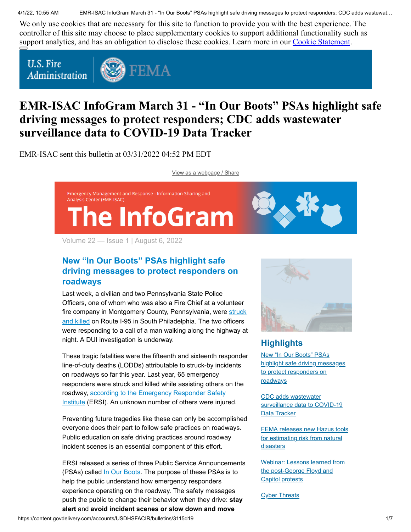4/1/22, 10:55 AM EMR-ISAC InfoGram March 31 - "In Our Boots" PSAs highlight safe driving messages to protect responders; CDC adds wastewat…

We only use cookies that are necessary for this site to function to provide you with the best experience. The controller of this site may choose to place supplementary cookies to support additional functionality such as support analytics, and has an obligation to disclose these cookies. Learn more in our [Cookie Statement.](https://subscriberhelp.granicus.com/s/article/Cookies)

**U.S. Fire** Administration



# **EMR-ISAC InfoGram March 31 - "In Our Boots" PSAs highlight safe driving messages to protect responders; CDC adds wastewater surveillance data to COVID-19 Data Tracker**

EMR-ISAC sent this bulletin at 03/31/2022 04:52 PM EDT

[View as a webpage / Share](https://content.govdelivery.com/accounts/USDHSFACIR/bulletins/3115d19)

Emergency Management and Response - Information Sharing and Analysis Center (EMR-ISAC) The InfoGram

Volume 22 — Issue 1 | August 6, 2022

# <span id="page-0-0"></span>**New "In Our Boots" PSAs highlight safe driving messages to protect responders on roadways**

Last week, a civilian and two Pennsylvania State Police Officers, one of whom who was also a Fire Chief at a volunteer [fire company in Montgomery County, Pennsylvania, were struck](https://www.respondersafety.com/news/lodd-news/2022/03/pa-03-21-2022-two-pennsylvania-state-troopers-and-a-pedestrian-struck-and-killed/) and killed on Route I-95 in South Philadelphia. The two officers were responding to a call of a man walking along the highway at night. A DUI investigation is underway.

These tragic fatalities were the fifteenth and sixteenth responder line-of-duty deaths (LODDs) attributable to struck-by incidents on roadways so far this year. Last year, 65 emergency responders were struck and killed while assisting others on the [roadway, according to the Emergency Responder Safety](https://www.respondersafety.com/news/struck-by-incidents/yearly-fatality-reports/) Institute (ERSI). An unknown number of others were injured.

Preventing future tragedies like these can only be accomplished everyone does their part to follow safe practices on roadways. Public education on safe driving practices around roadway incident scenes is an essential component of this effort.

ERSI released a series of three Public Service Announcements (PSAs) called [In Our Boots](https://www.respondersafety.com/news/news/2022/03/in-our-boots-public-service-announcements-show-traffic-and-struck-by-incidents-from-the-responder-s-perspective/). The purpose of these PSAs is to help the public understand how emergency responders experience operating on the roadway. The safety messages push the public to change their behavior when they drive: **stay alert** and **avoid incident scenes or slow down and move**



# **Highlights**

New "In Our Boots" PSAs [highlight safe driving messages](#page-0-0) to protect responders on **roadways** 

CDC adds wastewater [surveillance data to COVID-19](#page-1-0) Data Tracker

[FEMA releases new Hazus tools](#page-2-0) for estimating risk from natural **disasters** 

[Webinar: Lessons learned from](#page-3-0) the post-George Floyd and Capitol protests

**[Cyber Threats](#page-4-0)**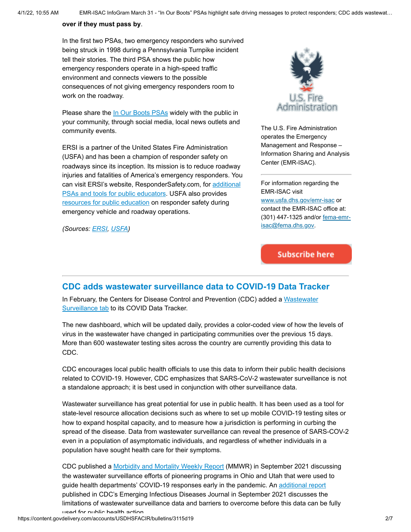#### **over if they must pass by**.

In the first two PSAs, two emergency responders who survived being struck in 1998 during a Pennsylvania Turnpike incident tell their stories. The third PSA shows the public how emergency responders operate in a high-speed traffic environment and connects viewers to the possible consequences of not giving emergency responders room to work on the roadway.

Please share the [In Our Boots PSAs](https://www.respondersafety.com/public-education/in-our-boots-psas/) widely with the public in your community, through social media, local news outlets and community events.

ERSI is a partner of the United States Fire Administration (USFA) and has been a champion of responder safety on roadways since its inception. Its mission is to reduce roadway injuries and fatalities of America's emergency responders. You [can visit ERSI's website, ResponderSafety.com, for additional](https://www.respondersafety.com/training/public-educators-pios/) PSAs and tools for public educators. USFA also provides [resources for public education](https://www.usfa.fema.gov/operations/ops_vehicle.html) on responder safety during emergency vehicle and roadway operations.

*(Sources: [ERSI,](https://www.respondersafety.com/news/news/2022/03/in-our-boots-public-service-announcements-show-traffic-and-struck-by-incidents-from-the-responder-s-perspective/) [USFA](https://www.usfa.fema.gov/operations/ops_vehicle.html))*



The U.S. Fire Administration operates the Emergency Management and Response – Information Sharing and Analysis Center (EMR-ISAC).

For information regarding the EMR-ISAC visit [www.usfa.dhs.gov/emr-isac](https://www.usfa.fema.gov/operations/ops_cip.html) or contact the EMR-ISAC office at: [\(301\) 447-1325 and/or fema-emr](mailto:fema-emr-isac@fema.dhs.gov)isac@fema.dhs.gov.

# **Subscribe here**

#### <span id="page-1-0"></span>**CDC adds wastewater surveillance data to COVID-19 Data Tracker**

[In February, the Centers for Disease Control and Prevention \(CDC\) added a Wastewater](https://covid.cdc.gov/covid-data-tracker/#wastewater-surveillance) Surveillance tab to its COVID Data Tracker.

The new dashboard, which will be updated daily, provides a color-coded view of how the levels of virus in the wastewater have changed in participating communities over the previous 15 days. More than 600 wastewater testing sites across the country are currently providing this data to CDC.

CDC encourages local public health officials to use this data to inform their public health decisions related to COVID-19. However, CDC emphasizes that SARS-CoV-2 wastewater surveillance is not a standalone approach; it is best used in conjunction with other surveillance data.

Wastewater surveillance has great potential for use in public health. It has been used as a tool for state-level resource allocation decisions such as where to set up mobile COVID-19 testing sites or how to expand hospital capacity, and to measure how a jurisdiction is performing in curbing the spread of the disease. Data from wastewater surveillance can reveal the presence of SARS-COV-2 even in a population of asymptomatic individuals, and regardless of whether individuals in a population have sought health care for their symptoms.

CDC published a [Morbidity and Mortality Weekly Report](https://www.cdc.gov/mmwr/volumes/70/wr/mm7036a2.htm) (MMWR) in September 2021 discussing the wastewater surveillance efforts of pioneering programs in Ohio and Utah that were used to guide health departments' COVID-19 responses early in the pandemic. An [additional report](https://wwwnc.cdc.gov/eid/article/27/9/21-0753_article) published in CDC's Emerging Infectious Diseases Journal in September 2021 discusses the limitations of wastewater surveillance data and barriers to overcome before this data can be fully used for public health action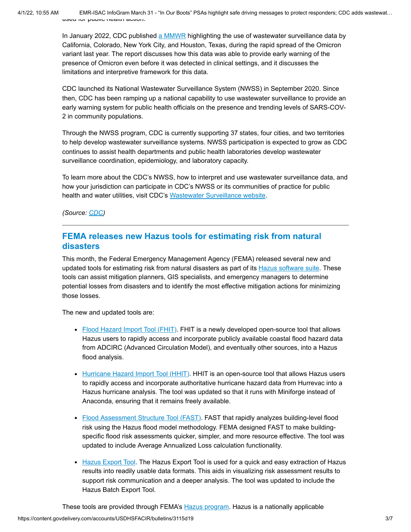4/1/22, 10:55 AM EMR-ISAC InfoGram March 31 - "In Our Boots" PSAs highlight safe driving messages to protect responders; CDC adds wastewat… used for public health action.

> In January 2022, CDC published [a MMWR](https://www.cdc.gov/mmwr/volumes/71/wr/mm7103a5.htm) highlighting the use of wastewater surveillance data by California, Colorado, New York City, and Houston, Texas, during the rapid spread of the Omicron variant last year. The report discusses how this data was able to provide early warning of the presence of Omicron even before it was detected in clinical settings, and it discusses the limitations and interpretive framework for this data.

> CDC launched its National Wastewater Surveillance System (NWSS) in September 2020. Since then, CDC has been ramping up a national capability to use wastewater surveillance to provide an early warning system for public health officials on the presence and trending levels of SARS-COV-2 in community populations.

> Through the NWSS program, CDC is currently supporting 37 states, four cities, and two territories to help develop wastewater surveillance systems. NWSS participation is expected to grow as CDC continues to assist health departments and public health laboratories develop wastewater surveillance coordination, epidemiology, and laboratory capacity.

> To learn more about the CDC's NWSS, how to interpret and use wastewater surveillance data, and how your jurisdiction can participate in CDC's NWSS or its communities of practice for public health and water utilities, visit CDC's [Wastewater Surveillance website.](https://www.cdc.gov/healthywater/surveillance/wastewater-surveillance/wastewater-surveillance.html)

*(Source: [CDC](https://www.cdc.gov/coronavirus/2019-ncov/covid-data/covidview/index.html))*

### <span id="page-2-0"></span>**FEMA releases new Hazus tools for estimating risk from natural disasters**

This month, the Federal Emergency Management Agency (FEMA) released several new and updated tools for estimating risk from natural disasters as part of its **Hazus software suite**. These tools can assist mitigation planners, GIS specialists, and emergency managers to determine potential losses from disasters and to identify the most effective mitigation actions for minimizing those losses.

The new and updated tools are:

- [Flood Hazard Import Tool \(FHIT\)](https://www.fema.gov/sites/default/files/documents/fema_flood-hazard-import-tool.pdf). FHIT is a newly developed open-source tool that allows Hazus users to rapidly access and incorporate publicly available coastal flood hazard data from ADCIRC (Advanced Circulation Model), and eventually other sources, into a Hazus flood analysis.
- [Hurricane Hazard Import Tool \(HHIT\)](https://www.fema.gov/event/summer-2021-webinar-how-map-hurricane-impacts-hazus-tutorial). HHIT is an open-source tool that allows Hazus users to rapidly access and incorporate authoritative hurricane hazard data from Hurrevac into a Hazus hurricane analysis. The tool was updated so that it runs with Miniforge instead of Anaconda, ensuring that it remains freely available.
- [Flood Assessment Structure Tool \(FAST\).](https://www.fema.gov/sites/default/files/documents/fema_flood-assessment-structure-tool.pdf) FAST that rapidly analyzes building-level flood risk using the Hazus flood model methodology. FEMA designed FAST to make buildingspecific flood risk assessments quicker, simpler, and more resource effective. The tool was updated to include Average Annualized Loss calculation functionality.
- [Hazus Export Tool](https://www.fema.gov/sites/default/files/documents/fema_hazus-export-tool.pdf). The Hazus Export Tool is used for a quick and easy extraction of Hazus results into readily usable data formats. This aids in visualizing risk assessment results to support risk communication and a deeper analysis. The tool was updated to include the Hazus Batch Export Tool.

These tools are provided through FEMA's **Hazus program**. Hazus is a nationally applicable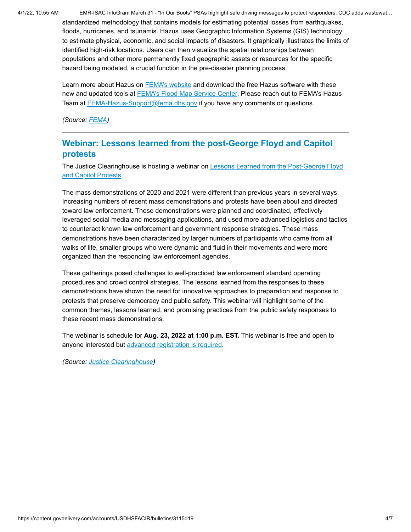4/1/22, 10:55 AM EMR-ISAC InfoGram March 31 - "In Our Boots" PSAs highlight safe driving messages to protect responders; CDC adds wastewat… standardized methodology that contains models for estimating potential losses from earthquakes, floods, hurricanes, and tsunamis. Hazus uses Geographic Information Systems (GIS) technology to estimate physical, economic, and social impacts of disasters. It graphically illustrates the limits of identified high-risk locations. Users can then visualize the spatial relationships between populations and other more permanently fixed geographic assets or resources for the specific hazard being modeled, a crucial function in the pre-disaster planning process.

> Learn more about Hazus on [FEMA's website](https://www.fema.gov/flood-maps/products-tools/hazus) and download the free Hazus software with these new and updated tools at [FEMA's Flood Map Service Center.](https://msc.fema.gov/portal/resources/hazus) Please reach out to FEMA's Hazus Team at **FEMA-Hazus-Support@fema.dhs.gov** if you have any comments or questions.

*(Source: [FEMA](https://msc.fema.gov/portal/resources/hazus))*

### <span id="page-3-0"></span>**Webinar: Lessons learned from the post-George Floyd and Capitol protests**

[The Justice Clearinghouse is hosting a webinar on Lessons Learned from the Post-George Floyd](https://www.justiceclearinghouse.com/webinar/lessons-learned-from-the-post-george-floyd-and-capitol-protests/) and Capitol Protests.

The mass demonstrations of 2020 and 2021 were different than previous years in several ways. Increasing numbers of recent mass demonstrations and protests have been about and directed toward law enforcement. These demonstrations were planned and coordinated, effectively leveraged social media and messaging applications, and used more advanced logistics and tactics to counteract known law enforcement and government response strategies. These mass demonstrations have been characterized by larger numbers of participants who came from all walks of life, smaller groups who were dynamic and fluid in their movements and were more organized than the responding law enforcement agencies.

These gatherings posed challenges to well-practiced law enforcement standard operating procedures and crowd control strategies. The lessons learned from the responses to these demonstrations have shown the need for innovative approaches to preparation and response to protests that preserve democracy and public safety. This webinar will highlight some of the common themes, lessons learned, and promising practices from the public safety responses to these recent mass demonstrations.

The webinar is schedule for **Aug. 23, 2022 at 1:00 p.m. EST.** This webinar is free and open to anyone interested but [advanced registration is required](https://www.justiceclearinghouse.com/webinar/lessons-learned-from-the-post-george-floyd-and-capitol-protests/).

*(Source: [Justice Clearinghouse](https://www.justiceclearinghouse.com/webinar/lessons-learned-from-the-post-george-floyd-and-capitol-protests/))*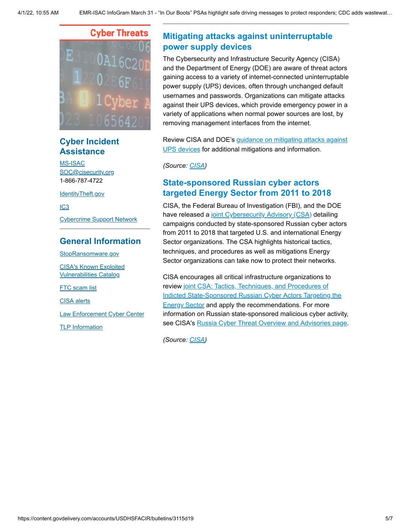

## **Cyber Incident Assistance**

[MS-ISAC](https://www.cisecurity.org/ms-isac/) [SOC@cisecurity.org](mailto:SOC@cisecurity.org) 1-866-787-4722

[IdentityTheft.gov](https://identitytheft.gov/)

[IC3](https://www.ic3.gov/default.aspx)

[Cybercrime Support Network](https://fraudsupport.org/)

#### **General Information**

[StopRansomware.gov](https://www.cisa.gov/stopransomware) [CISA's Known Exploited](https://www.cisa.gov/known-exploited-vulnerabilities-catalog) Vulnerabilities Catalog

**FTC** scam list [CISA alerts](https://us-cert.cisa.gov/ncas)

[Law Enforcement Cyber Center](https://www.iacpcybercenter.org/)

[TLP Information](https://us-cert.cisa.gov/tlp)

# <span id="page-4-0"></span>**Mitigating attacks against uninterruptable power supply devices**

The Cybersecurity and Infrastructure Security Agency (CISA) and the Department of Energy (DOE) are aware of threat actors gaining access to a variety of internet-connected uninterruptable power supply (UPS) devices, often through unchanged default usernames and passwords. Organizations can mitigate attacks against their UPS devices, which provide emergency power in a variety of applications when normal power sources are lost, by removing management interfaces from the internet.

[Review CISA and DOE's guidance on mitigating attacks against](https://cisa.gov/sites/default/files/publications/CISA-DOE_Insights-Mitigating_Vulnerabilities_Affecting_Uninterruptible_Power_Supply_Devices_Mar_29.pdf) UPS devices for additional mitigations and information.

*(Source: [CISA](https://www.cisa.gov/uscert/ncas/current-activity/2022/03/29/mitigating-attacks-against-uninterruptable-power-supply-devices))*

### **State-sponsored Russian cyber actors targeted Energy Sector from 2011 to 2018**

CISA, the Federal Bureau of Investigation (FBI), and the DOE have released a [joint Cybersecurity Advisory \(CSA\)](https://www.cisa.gov/uscert/ncas/alerts/aa22-083a) detailing campaigns conducted by state-sponsored Russian cyber actors from 2011 to 2018 that targeted U.S. and international Energy Sector organizations. The CSA highlights historical tactics, techniques, and procedures as well as mitigations Energy Sector organizations can take now to protect their networks.

CISA encourages all critical infrastructure organizations to review joint CSA: Tactics, Techniques, and Procedures of [Indicted State-Sponsored Russian Cyber Actors Targeting the](https://www.cisa.gov/uscert/ncas/alerts/aa22-083a) **Energy Sector and apply the recommendations. For more** information on Russian state-sponsored malicious cyber activity, see CISA's [Russia Cyber Threat Overview and Advisories page](https://www.cisa.gov/uscert/russia).

*(Source: [CISA](https://www.cisa.gov/uscert/ncas/current-activity/2022/03/24/state-sponsored-russian-cyber-actors-targeted-energy-sector-2011))*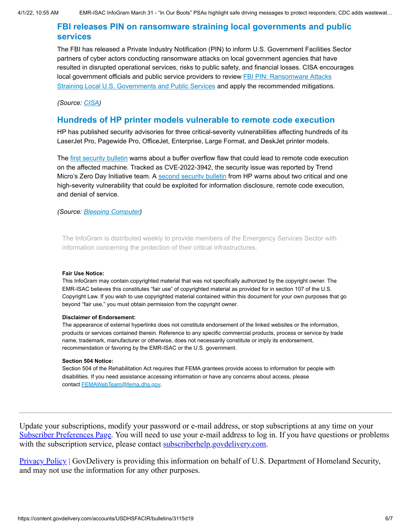### **FBI releases PIN on ransomware straining local governments and public services**

The FBI has released a Private Industry Notification (PIN) to inform U.S. Government Facilities Sector partners of cyber actors conducting ransomware attacks on local government agencies that have resulted in disrupted operational services, risks to public safety, and financial losses. CISA encourages [local government officials and public service providers to review FBI PIN: Ransomware Attacks](https://www.ic3.gov/Media/News/2022/220330.pdf) Straining Local U.S. Governments and Public Services and apply the recommended mitigations.

*(Source: [CISA](https://www.cisa.gov/uscert/ncas/current-activity/2022/03/31/fbi-releases-pin-ransomware-straining-local-governments-and-public))*

#### **Hundreds of HP printer models vulnerable to remote code execution**

HP has published security advisories for three critical-severity vulnerabilities affecting hundreds of its LaserJet Pro, Pagewide Pro, OfficeJet, Enterprise, Large Format, and DeskJet printer models.

The [first security bulletin](https://support.hp.com/us-en/document/ish_5948778-5949142-16/hpsbpi03780) warns about a buffer overflow flaw that could lead to remote code execution on the affected machine. Tracked as CVE-2022-3942, the security issue was reported by Trend Micro's Zero Day Initiative team. A [second security bulletin](https://support.hp.com/us-en/document/ish_5950417-5950443-16/hpsbpi03781) from HP warns about two critical and one high-severity vulnerability that could be exploited for information disclosure, remote code execution, and denial of service.

*(Source: [Bleeping Computer](https://www.bleepingcomputer.com/news/security/hundreds-of-hp-printer-models-vulnerable-to-remote-code-execution/))*

The InfoGram is distributed weekly to provide members of the Emergency Services Sector with information concerning the protection of their critical infrastructures.

#### **Fair Use Notice:**

This InfoGram may contain copyrighted material that was not specifically authorized by the copyright owner. The EMR-ISAC believes this constitutes "fair use" of copyrighted material as provided for in section 107 of the U.S. Copyright Law. If you wish to use copyrighted material contained within this document for your own purposes that go beyond "fair use," you must obtain permission from the copyright owner.

#### **Disclaimer of Endorsement:**

The appearance of external hyperlinks does not constitute endorsement of the linked websites or the information, products or services contained therein. Reference to any specific commercial products, process or service by trade name, trademark, manufacturer or otherwise, does not necessarily constitute or imply its endorsement, recommendation or favoring by the EMR-ISAC or the U.S. government.

#### **Section 504 Notice:**

Section 504 of the Rehabilitation Act requires that FEMA grantees provide access to information for people with disabilities. If you need assistance accessing information or have any concerns about access, please contact [FEMAWebTeam@fema.dhs.gov](mailto:FEMAWebTeam@fema.dhs.gov).

Update your subscriptions, modify your password or e-mail address, or stop subscriptions at any time on your [Subscriber Preferences Page](https://public.govdelivery.com/accounts/USDHSFACIR/subscriber/edit?preferences=true#tab1). You will need to use your e-mail address to log in. If you have questions or problems with the subscription service, please contact [subscriberhelp.govdelivery.com](https://subscriberhelp.govdelivery.com/).

**Privacy Policy** | GovDelivery is providing this information on behalf of U.S. Department of Homeland Security, and may not use the information for any other purposes.